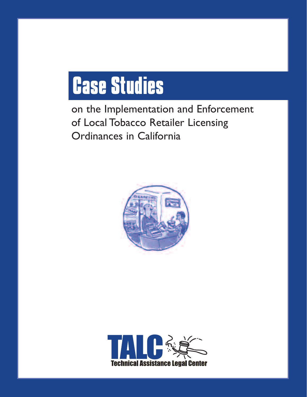# **Case Studies**

on the Implementation and Enforcement of Local Tobacco Retailer Licensing Ordinances in California



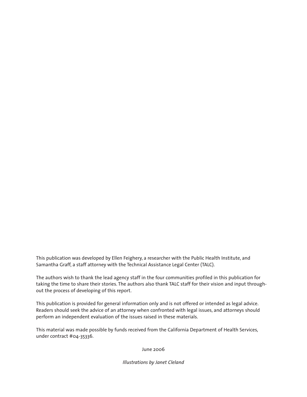This publication was developed by Ellen Feighery, a researcher with the Public Health Institute, and Samantha Graff, a staff attorney with the Technical Assistance Legal Center (TALC).

The authors wish to thank the lead agency staff in the four communities profiled in this publication for taking the time to share their stories. The authors also thank TALC staff for their vision and input throughout the process of developing of this report.

This publication is provided for general information only and is not offered or intended as legal advice. Readers should seek the advice of an attorney when confronted with legal issues, and attorneys should perform an independent evaluation of the issues raised in these materials.

This material was made possible by funds received from the California Department of Health Services, under contract #04-35336.

#### June 2006

*Illustrations by Janet Cleland*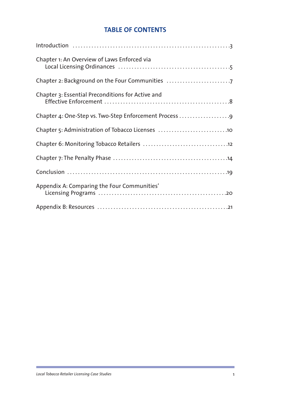## **TABLE OF CONTENTS**

| Chapter 1: An Overview of Laws Enforced via       |
|---------------------------------------------------|
| Chapter 2: Background on the Four Communities     |
| Chapter 3: Essential Preconditions for Active and |
|                                                   |
|                                                   |
|                                                   |
|                                                   |
|                                                   |
| Appendix A: Comparing the Four Communities'       |
|                                                   |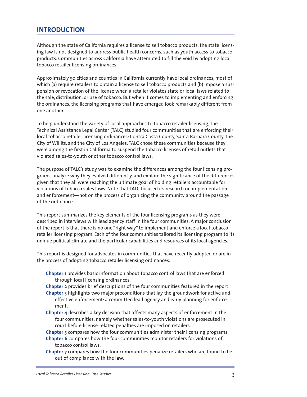## **INTRODUCTION**

Although the state of California requires a license to sell tobacco products, the state licensing law is not designed to address public health concerns, such as youth access to tobacco products. Communities across California have attempted to fill the void by adopting local tobacco retailer licensing ordinances.

Approximately 50 cities and counties in California currently have local ordinances, most of which (a) require retailers to obtain a license to sell tobacco products and (b) impose a suspension or revocation of the license when a retailer violates state or local laws related to the sale, distribution, or use of tobacco. But when it comes to implementing and enforcing the ordinances, the licensing programs that have emerged look remarkably different from one another.

To help understand the variety of local approaches to tobacco retailer licensing, the Technical Assistance Legal Center (TALC) studied four communities that are enforcing their local tobacco retailer licensing ordinances: Contra Costa County, Santa Barbara County, the City of Willits, and the City of Los Angeles. TALC chose these communities because they were among the first in California to suspend the tobacco licenses of retail outlets that violated sales-to-youth or other tobacco control laws.

The purpose of TALC's study was to examine the differences among the four licensing programs, analyze why they evolved differently, and explore the significance of the differences given that they all were reaching the ultimate goal of holding retailers accountable for violations of tobacco sales laws. Note that TALC focused its research on implementation and enforcement—not on the process of organizing the community around the passage of the ordinance.

This report summarizes the key elements of the four licensing programs as they were described in interviews with lead agency staff in the four communities. A major conclusion of the report is that there is no one "right way" to implement and enforce a local tobacco retailer licensing program. Each of the four communities tailored its licensing program to its unique political climate and the particular capabilities and resources of its local agencies.

This report is designed for advocates in communities that have recently adopted or are in the process of adopting tobacco retailer licensing ordinances.

- **Chapter 1** provides basic information about tobacco control laws that are enforced through local licensing ordinances.
- **Chapter 2** provides brief descriptions of the four communities featured in the report. **Chapter 3** highlights two major preconditions that lay the groundwork for active and effective enforcement: a committed lead agency and early planning for enforcement.
- **Chapter 4** describes a key decision that affects many aspects of enforcement in the four communities, namely whether sales-to-youth violations are prosecuted in court before license-related penalties are imposed on retailers.
- **Chapter 5** compares how the four communities administer their licensing programs.
- **Chapter 6** compares how the four communities monitor retailers for violations of tobacco control laws.
- **Chapter 7** compares how the four communities penalize retailers who are found to be out of compliance with the law.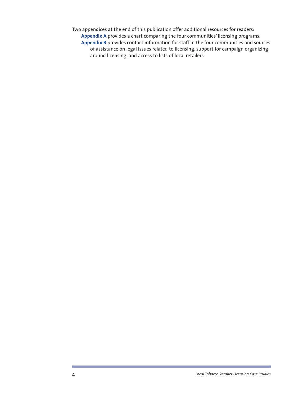Two appendices at the end of this publication offer additional resources for readers: **Appendix A** provides a chart comparing the four communities' licensing programs. **Appendix B** provides contact information for staff in the four communities and sources of assistance on legal issues related to licensing, support for campaign organizing around licensing, and access to lists of local retailers.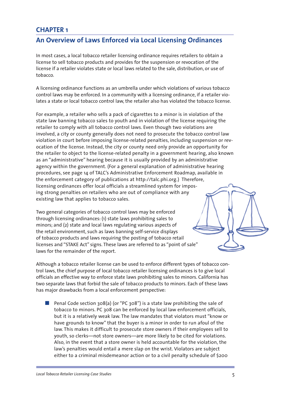## **An Overview of Laws Enforced via Local Licensing Ordinances**

In most cases, a local tobacco retailer licensing ordinance requires retailers to obtain a license to sell tobacco products and provides for the suspension or revocation of the license if a retailer violates state or local laws related to the sale, distribution, or use of tobacco.

A licensing ordinance functions as an umbrella under which violations of various tobacco control laws may be enforced. In a community with a licensing ordinance, if a retailer violates a state or local tobacco control law, the retailer also has violated the tobacco license.

For example, a retailer who sells a pack of cigarettes to a minor is in violation of the state law banning tobacco sales to youth and in violation of the license requiring the retailer to comply with all tobacco control laws. Even though two violations are involved, a city or county generally does not need to prosecute the tobacco control law violation in court before imposing license-related penalties, including suspension or revocation of the license. Instead, the city or county need only provide an opportunity for the retailer to object to the license-related penalty in a government hearing, also known as an "administrative" hearing because it is usually provided by an administrative agency within the government. (For a general explanation of administrative hearing procedures, see page 14 of TALC's Administrative Enforcement Roadmap, available in the enforcement category of publications at http://talc.phi.org.) Therefore, licensing ordinances offer local officials a streamlined system for imposing strong penalties on retailers who are out of compliance with any existing law that applies to tobacco sales.

Two general categories of tobacco control laws may be enforced through licensing ordinances: (1) state laws prohibiting sales to minors; and (2) state and local laws regulating various aspects of the retail environment, such as laws banning self-service displays of tobacco products and laws requiring the posting of tobacco retail licenses and "STAKE Act" signs. These laws are referred to as "point of sale" laws for the remainder of the report.

Although a tobacco retailer license can be used to enforce different types of tobacco control laws, the chief purpose of local tobacco retailer licensing ordinances is to give local officials an effective way to enforce state laws prohibiting sales to minors. California has two separate laws that forbid the sale of tobacco products to minors. Each of these laws has major drawbacks from a local enforcement perspective:

■ Penal Code section 308(a) (or "PC 308") is a state law prohibiting the sale of tobacco to minors. PC 308 can be enforced by local law enforcement officials, but it is a relatively weak law. The law mandates that violators must "know or have grounds to know" that the buyer is a minor in order to run afoul of the law. This makes it difficult to prosecute store owners if their employees sell to youth, so clerks—not store owners—are more likely to be cited for violations. Also, in the event that a store owner is held accountable for the violation, the law's penalties would entail a mere slap on the wrist. Violators are subject either to a criminal misdemeanor action or to a civil penalty schedule of \$200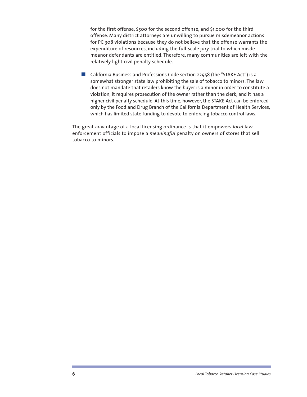for the first offense, \$500 for the second offense, and \$1,000 for the third offense. Many district attorneys are unwilling to pursue misdemeanor actions for PC 308 violations because they do not believe that the offense warrants the expenditure of resources, including the full-scale jury trial to which misdemeanor defendants are entitled. Therefore, many communities are left with the relatively light civil penalty schedule.

■ California Business and Professions Code section 22958 (the "STAKE Act") is a somewhat stronger state law prohibiting the sale of tobacco to minors. The law does not mandate that retailers know the buyer is a minor in order to constitute a violation; it requires prosecution of the owner rather than the clerk; and it has a higher civil penalty schedule. At this time, however, the STAKE Act can be enforced only by the Food and Drug Branch of the California Department of Health Services, which has limited state funding to devote to enforcing tobacco control laws.

The great advantage of a local licensing ordinance is that it empowers *local* law enforcement officials to impose a *meaningful* penalty on owners of stores that sell tobacco to minors.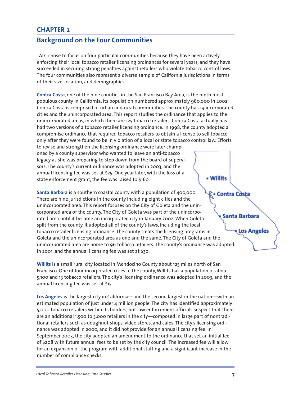## **Background on the Four Communities**

TALC chose to focus on four particular communities because they have been actively enforcing their local tobacco retailer licensing ordinances for several years, and they have succeeded in securing strong penalties against retailers who violate tobacco control laws. The four communities also represent a diverse sample of California jurisdictions in terms of their size, location, and demographics.

**Contra Costa**, one of the nine counties in the San Francisco Bay Area, is the ninth most populous county in California. Its population numbered approximately 980,000 in 2002. Contra Costa is comprised of urban and rural communities. The county has 19 incorporated cities and the unincorporated area. This report studies the ordinance that applies to the unincorporated areas, in which there are 125 tobacco retailers. Contra Costa actually has had two versions of a tobacco retailer licensing ordinance. In 1998, the county adopted a compromise ordinance that required tobacco retailers to obtain a license to sell tobacco only after they were found to be in violation of a local or state tobacco control law. Efforts to revise and strengthen the licensing ordinance were later championed by a county supervisor who wanted to leave an anti-tobacco

legacy as she was preparing to step down from the board of supervisors. The county's current ordinance was adopted in 2003, and the annual licensing fee was set at \$25. One year later, with the loss of a state enforcement grant, the fee was raised to \$160.

**Santa Barbara** is a southern coastal county with a population of 400,000. Contra Cò There are nine jurisdictions in the county including eight cities and the unincorporated area. This report focuses on the City of Goleta and the unincorporated area of the county. The City of Goleta was part of the unincorpo-Santa Barbara rated area until it became an incorporated city in January 2002. When Goleta split from the county, it adopted all of the county's laws, including the local tobacco retailer licensing ordinance. The county treats the licensing programs in Goleta and the unincorporated area as one and the same. The City of Goleta and the unincorporated area are home to 96 tobacco retailers. The county's ordinance was adopted in 2001, and the annual licensing fee was set at \$30.

**Willits** is a small rural city located in Mendocino County about 125 miles north of San Francisco. One of four incorporated cities in the county, Willits has a population of about 5,100 and 13 tobacco retailers. The city's licensing ordinance was adopted in 2003, and the annual licensing fee was set at \$15.

**Los Angeles** is the largest city in California—and the second largest in the nation—with an estimated population of just under 4 million people. The city has identified approximately 5,000 tobacco retailers within its borders, but law enforcement officials suspect that there are an additional 1,500 to 3,000 retailers in the city—composed in large part of nontraditional retailers such as doughnut shops, video stores, and cafes. The city's licensing ordinance was adopted in 2000, and it did not provide for an annual licensing fee. In September 2005, the city adopted an amendment to the ordinance that set an initial fee of \$208 with future annual fees to be set by the city council. The increased fee will allow for an expansion of the program with additional staffing and a significant increase in the number of compliance checks.

#### Willits

**Los Angeles** 

*Local Tobacco Retailer Licensing Case Studies* 7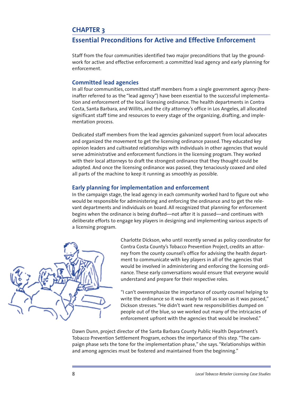## **Essential Preconditions for Active and Effective Enforcement**

Staff from the four communities identified two major preconditions that lay the groundwork for active and effective enforcement: a committed lead agency and early planning for enforcement.

## **Committed lead agencies**

In all four communities, committed staff members from a single government agency (hereinafter referred to as the "lead agency") have been essential to the successful implementation and enforcement of the local licensing ordinance. The health departments in Contra Costa, Santa Barbara, and Willits, and the city attorney's office in Los Angeles, all allocated significant staff time and resources to every stage of the organizing, drafting, and implementation process.

Dedicated staff members from the lead agencies galvanized support from local advocates and organized the movement to get the licensing ordinance passed. They educated key opinion leaders and cultivated relationships with individuals in other agencies that would serve administrative and enforcement functions in the licensing program. They worked with their local attorneys to draft the strongest ordinance that they thought could be adopted. And once the licensing ordinance was passed, they tenaciously coaxed and oiled all parts of the machine to keep it running as smoothly as possible.

## **Early planning for implementation and enforcement**

In the campaign stage, the lead agency in each community worked hard to figure out who would be responsible for administering and enforcing the ordinance and to get the relevant departments and individuals on board. All recognized that planning for enforcement begins when the ordinance is being drafted—not after it is passed—and continues with deliberate efforts to engage key players in designing and implementing various aspects of a licensing program.



Charlotte Dickson, who until recently served as policy coordinator for Contra Costa County's Tobacco Prevention Project, credits an attorney from the county counsel's office for advising the health department to communicate with key players in all of the agencies that would be involved in administering and enforcing the licensing ordinance. These early conversations would ensure that everyone would understand and prepare for their respective roles.

"I can't overemphasize the importance of county counsel helping to write the ordinance so it was ready to roll as soon as it was passed," Dickson stresses. "He didn't want new responsibilities dumped on people out of the blue, so we worked out many of the intricacies of enforcement upfront with the agencies that would be involved."

Dawn Dunn, project director of the Santa Barbara County Public Health Department's Tobacco Prevention Settlement Program, echoes the importance of this step. "The campaign phase sets the tone for the implementation phase," she says. "Relationships within and among agencies must be fostered and maintained from the beginning."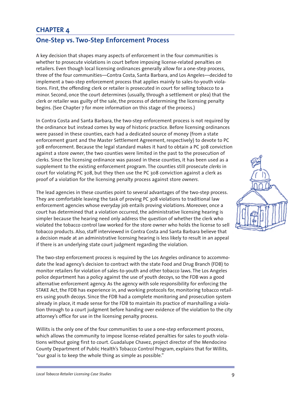## **One-Step vs. Two-Step Enforcement Process**

A key decision that shapes many aspects of enforcement in the four communities is whether to prosecute violations in court before imposing license-related penalties on retailers. Even though local licensing ordinances generally allow for a one-step process, three of the four communities—Contra Costa, Santa Barbara, and Los Angeles—decided to implement a two-step enforcement process that applies mainly to sales-to-youth violations. First, the offending clerk or retailer is prosecuted in court for selling tobacco to a minor. Second, once the court determines (usually, through a settlement or plea) that the clerk or retailer was guilty of the sale, the process of determining the licensing penalty begins. (See Chapter 7 for more information on this stage of the process.)

In Contra Costa and Santa Barbara, the two-step enforcement process is not required by the ordinance but instead comes by way of historic practice. Before licensing ordinances were passed in these counties, each had a dedicated source of money (from a state enforcement grant and the Master Settlement Agreement, respectively) to devote to PC 308 enforcement. Because the legal standard makes it hard to obtain a PC 308 conviction against a store *owner*, the two counties were limited in the past to the prosecution of clerks. Since the licensing ordinance was passed in these counties, it has been used as a supplement to the existing enforcement program. The counties still prosecute *clerks* in court for violating PC 308, but they then use the PC 308 conviction against a clerk as proof of a violation for the licensing penalty process against store *owners*.

The lead agencies in these counties point to several advantages of the two-step process. They are comfortable leaving the task of proving PC 308 violations to traditional law enforcement agencies whose everyday job entails proving violations. Moreover, once a court has determined that a violation occurred, the administrative licensing hearing is simpler because the hearing need only address the question of whether the clerk who violated the tobacco control law worked for the store owner who holds the license to sell tobacco products. Also, staff interviewed in Contra Costa and Santa Barbara believe that a decision made at an administrative licensing hearing is less likely to result in an appeal if there is an underlying state court judgment regarding the violation.

The two-step enforcement process is required by the Los Angeles ordinance to accommodate the lead agency's decision to contract with the state Food and Drug Branch (FDB) to monitor retailers for violation of sales-to-youth and other tobacco laws. The Los Angeles police department has a policy against the use of youth decoys, so the FDB was a good alternative enforcement agency. As the agency with sole responsibility for enforcing the STAKE Act, the FDB has experience in, and working protocols for, monitoring tobacco retailers using youth decoys. Since the FDB had a complete monitoring and prosecution system already in place, it made sense for the FDB to maintain its practice of marshalling a violation through to a court judgment before handing over evidence of the violation to the city attorney's office for use in the licensing penalty process.

Willits is the only one of the four communities to use a one-step enforcement process, which allows the community to impose license-related penalties for sales to youth violations without going first to court. Guadalupe Chavez, project director of the Mendocino County Department of Public Health's Tobacco Control Program, explains that for Willits, "our goal is to keep the whole thing as simple as possible."

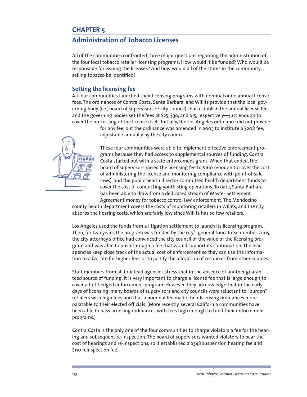## **Administration of Tobacco Licenses**

All of the communities confronted three major questions regarding the administration of the four local tobacco retailer licensing programs: How would it be funded? Who would be responsible for issuing the licenses? And how would all of the stores in the community selling tobacco be identified?

## **Setting the licensing fee**

All four communities launched their licensing programs with nominal or no annual license fees. The ordinances of Contra Costa, Santa Barbara, and Willits provide that the local governing body (i.e., board of supervisors or city council) shall establish the annual license fee, and the governing bodies set the fees at \$25, \$30, and \$15, respectively—just enough to cover the processing of the license itself. Initially, the Los Angeles ordinance did not provide

> for any fee, but the ordinance was amended in 2005 to institute a \$208 fee, adjustable annually by the city council.



These four communities were able to implement effective enforcement programs because they had access to supplemental sources of funding. Contra Costa started out with a state enforcement grant. When that ended, the board of supervisors raised the licensing fee to \$160 (enough to cover the cost of administering the license and monitoring compliance with point-of-sale laws), and the public health director committed health department funds to cover the cost of conducting youth sting operations. To date, Santa Barbara has been able to draw from a dedicated stream of Master Settlement

Agreement money for tobacco control law enforcement. The Mendocino county health department covers the costs of monitoring retailers in Willits, and the city absorbs the hearing costs, which are fairly low since Willits has so few retailers.

Los Angeles used the funds from a litigation settlement to launch its licensing program. Then, for two years, the program was funded by the city's general fund. In September 2005, the city attorney's office had convinced the city council of the value of the licensing program and was able to push through a fee that would support its continuation. The lead agencies keep close track of the actual cost of enforcement so they can use the information to advocate for higher fees or to justify the allocation of resources from other sources.

Staff members from all four lead agencies stress that in the absence of another guaranteed source of funding, it is very important to charge a license fee that is large enough to cover a full-fledged enforcement program. However, they acknowledge that in the early days of licensing, many boards of supervisors and city councils were reluctant to "burden" retailers with high fees and that a nominal fee made their licensing ordinances more palatable to their elected officials. (More recently, several California communities have been able to pass licensing ordinances with fees high enough to fund their enforcement programs.)

Contra Costa is the only one of the four communities to charge violators a fee for the hearing and subsequent re-inspection. The board of supervisors wanted violators to bear the cost of hearings and re-inspections, so it established a \$348 suspension hearing fee and \$110 reinspection fee.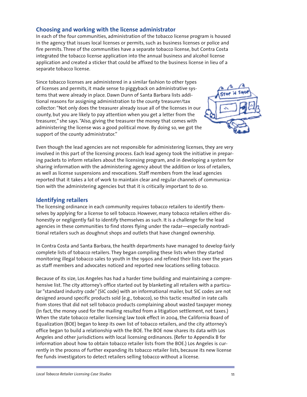#### **Choosing and working with the license administrator**

In each of the four communities, administration of the tobacco license program is housed in the agency that issues local licenses or permits, such as business licenses or police and fire permits. Three of the communities have a separate tobacco license, but Contra Costa integrated the tobacco license application into the annual business and alcohol license application and created a sticker that could be affixed to the business license in lieu of a separate tobacco license.

Since tobacco licenses are administered in a similar fashion to other types of licenses and permits, it made sense to piggyback on administrative systems that were already in place. Dawn Dunn of Santa Barbara lists additional reasons for assigning administration to the county treasurer/tax collector: "Not only does the treasurer already issue all of the licenses in our county, but you are likely to pay attention when you get a letter from the treasurer," she says. "Also, giving the treasurer the money that comes with administering the license was a good political move. By doing so, we got the support of the county administrator."



Even though the lead agencies are not responsible for administering licenses, they are very involved in this part of the licensing process. Each lead agency took the initiative in preparing packets to inform retailers about the licensing program, and in developing a system for sharing information with the administering agency about the addition or loss of retailers, as well as license suspensions and revocations. Staff members from the lead agencies reported that it takes a lot of work to maintain clear and regular channels of communication with the administering agencies but that it is critically important to do so.

#### **Identifying retailers**

The licensing ordinance in each community requires tobacco retailers to identify themselves by applying for a license to sell tobacco. However, many tobacco retailers either dishonestly or negligently fail to identify themselves as such. It is a challenge for the lead agencies in these communities to find stores flying under the radar—especially nontraditional retailers such as doughnut shops and outlets that have changed ownership.

In Contra Costa and Santa Barbara, the health departments have managed to develop fairly complete lists of tobacco retailers. They began compiling these lists when they started monitoring illegal tobacco sales to youth in the 1990s and refined their lists over the years as staff members and advocates noticed and reported new locations selling tobacco.

Because of its size, Los Angeles has had a harder time building and maintaining a comprehensive list. The city attorney's office started out by blanketing all retailers with a particular "standard industry code" (SIC code) with an informational mailer, but SIC codes are not designed around specific products sold (e.g., tobacco), so this tactic resulted in irate calls from stores that did not sell tobacco products complaining about wasted taxpayer money. (In fact, the money used for the mailing resulted from a litigation settlement, not taxes.) When the state tobacco retailer licensing law took effect in 2004, the California Board of Equalization (BOE) began to keep its own list of tobacco retailers, and the city attorney's office began to build a relationship with the BOE. The BOE now shares its data with Los Angeles and other jurisdictions with local licensing ordinances. (Refer to Appendix B for information about how to obtain tobacco retailer lists from the BOE.) Los Angeles is currently in the process of further expanding its tobacco retailer lists, because its new license fee funds investigators to detect retailers selling tobacco without a license.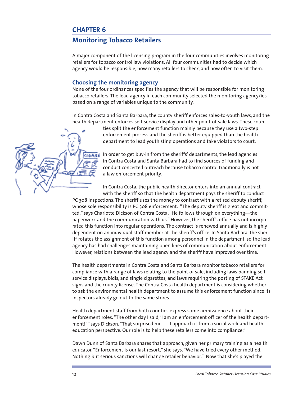## **Monitoring Tobacco Retailers**

A major component of the licensing program in the four communities involves monitoring retailers for tobacco control law violations. All four communities had to decide which agency would be responsible, how many retailers to check, and how often to visit them.

#### **Choosing the monitoring agency**

None of the four ordinances specifies the agency that will be responsible for monitoring tobacco retailers. The lead agency in each community selected the monitoring agency/ies based on a range of variables unique to the community.

In Contra Costa and Santa Barbara, the county sheriff enforces sales-to-youth laws, and the health department enforces self-service display and other point-of-sale laws. These coun-

ties split the enforcement function mainly because they use a two-step enforcement process and the sheriff is better equipped than the health department to lead youth sting operations and take violators to court.

In order to get buy-in from the sheriffs' departments, the lead agencies in Contra Costa and Santa Barbara had to find sources of funding and conduct concerted outreach because tobacco control traditionally is not a law enforcement priority.

In Contra Costa, the public health director enters into an annual contract with the sheriff so that the health department pays the sheriff to conduct

PC 308 inspections. The sheriff uses the money to contract with a retired deputy sheriff, whose sole responsibility is PC 308 enforcement. "The deputy sheriff is great and committed," says Charlotte Dickson of Contra Costa. "He follows through on everything—the paperwork and the communication with us." However, the sheriff's office has not incorporated this function into regular operations. The contract is renewed annually and is highly dependent on an individual staff member at the sheriff's office. In Santa Barbara, the sheriff rotates the assignment of this function among personnel in the department, so the lead agency has had challenges maintaining open lines of communication about enforcement. However, relations between the lead agency and the sheriff have improved over time.

The health departments in Contra Costa and Santa Barbara monitor tobacco retailers for compliance with a range of laws relating to the point of sale, including laws banning selfservice displays, bidis, and single cigarettes, and laws requiring the posting of STAKE Act signs and the county license. The Contra Costa health department is considering whether to ask the environmental health department to assume this enforcement function since its inspectors already go out to the same stores.

Health department staff from both counties express some ambivalence about their enforcement roles. "The other day I said, 'I am an enforcement officer of the health department!' " says Dickson. "That surprised me. . . . I approach it from a social work and health education perspective. Our role is to help these retailers come into compliance."

Dawn Dunn of Santa Barbara shares that approach, given her primary training as a health educator. "Enforcement is our last resort," she says. "We have tried every other method. Nothing but serious sanctions will change retailer behavior." Now that she's played the

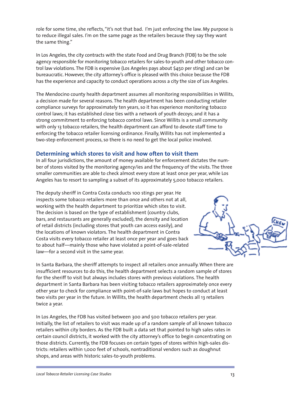role for some time, she reflects, "it's not that bad. I'm just enforcing the law. My purpose is to reduce illegal sales. I'm on the same page as the retailers because they say they want the same thing."

In Los Angeles, the city contracts with the state Food and Drug Branch (FDB) to be the sole agency responsible for monitoring tobacco retailers for sales-to-youth and other tobacco control law violations. The FDB is expensive (Los Angeles pays about \$450 per sting) and can be bureaucratic. However, the city attorney's office is pleased with this choice because the FDB has the experience and capacity to conduct operations across a city the size of Los Angeles.

The Mendocino county health department assumes all monitoring responsibilities in Willits, a decision made for several reasons. The health department has been conducting retailer compliance surveys for approximately ten years, so it has experience monitoring tobacco control laws; it has established close ties with a network of youth decoys; and it has a strong commitment to enforcing tobacco control laws. Since Willits is a small community with only 13 tobacco retailers, the health department can afford to devote staff time to enforcing the tobacco retailer licensing ordinance. Finally, Willits has not implemented a two-step enforcement process, so there is no need to get the local police involved.

## **Determining which stores to visit and how often to visit them**

In all four jurisdictions, the amount of money available for enforcement dictates the number of stores visited by the monitoring agency/ies and the frequency of the visits. The three smaller communities are able to check almost every store at least once per year, while Los Angeles has to resort to sampling a subset of its approximately 5,000 tobacco retailers.

The deputy sheriff in Contra Costa conducts 100 stings per year. He inspects some tobacco retailers more than once and others not at all, working with the health department to prioritize which sites to visit. The decision is based on the type of establishment (country clubs, bars, and restaurants are generally excluded), the density and location of retail districts (including stores that youth can access easily), and the locations of known violators. The health department in Contra Costa visits every tobacco retailer at least once per year and goes back to about half—mainly those who have violated a point-of-sale-related law—for a second visit in the same year.



In Santa Barbara, the sheriff attempts to inspect all retailers once annually. When there are insufficient resources to do this, the health department selects a random sample of stores for the sheriff to visit but always includes stores with previous violations. The health department in Santa Barbara has been visiting tobacco retailers approximately once every other year to check for compliance with point-of-sale laws but hopes to conduct at least two visits per year in the future. In Willits, the health department checks all 13 retailers twice a year.

In Los Angeles, the FDB has visited between 300 and 500 tobacco retailers per year. Initially, the list of retailers to visit was made up of a random sample of all known tobacco retailers within city borders. As the FDB built a data set that pointed to high sales rates in certain council districts, it worked with the city attorney's office to begin concentrating on those districts. Currently, the FDB focuses on certain types of stores within high-sales districts: retailers within 1,000 feet of schools, nontraditional vendors such as doughnut shops, and areas with historic sales-to-youth problems.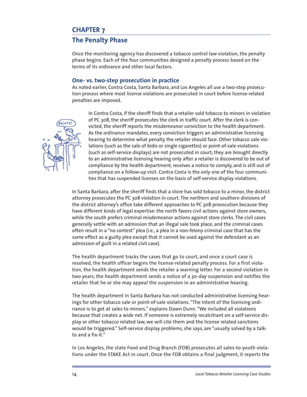## **The Penalty Phase**

Once the monitoring agency has discovered a tobacco control law violation, the penalty phase begins. Each of the four communities designed a penalty process based on the terms of its ordinance and other local factors.

#### **One- vs. two-step prosecution in practice**

As noted earlier, Contra Costa, Santa Barbara, and Los Angeles all use a two-step prosecution process where most license violations are prosecuted in court before license-related penalties are imposed.



In Contra Costa, if the sheriff finds that a retailer sold tobacco to minors in violation of PC 308, the sheriff prosecutes the clerk in traffic court. After the clerk is convicted, the sheriff reports the misdemeanor conviction to the health department. As the ordinance mandates, every conviction triggers an administrative licensing hearing to determine what penalty the retailer should face. Other tobacco sale violations (such as the sale of bidis or single cigarettes) or point-of-sale violations (such as self-service displays) are not prosecuted in court; they are brought directly to an administrative licensing hearing only after a retailer is discovered to be out of compliance by the health department, receives a notice to comply, and is still out of compliance on a follow-up visit. Contra Costa is the only one of the four communities that has suspended licenses on the basis of self-service display violations.

In Santa Barbara, after the sheriff finds that a store has sold tobacco to a minor, the district attorney prosecutes the PC 308 violation in court. The northern and southern divisions of the district attorney's office take different approaches to PC 308 prosecution because they have different kinds of legal expertise: the north favors civil actions against store owners, while the south prefers criminal misdemeanor actions against store clerks. The civil cases generally settle with an admission that an illegal sale took place, and the criminal cases often result in a "no contest" plea (i.e., a plea in a non-felony criminal case that has the same effect as a guilty plea except that it cannot be used against the defendant as an admission of guilt in a related civil case).

The health department tracks the cases that go to court, and once a court case is resolved, the health officer begins the license-related penalty process. For a first violation, the health department sends the retailer a warning letter. For a second violation in two years, the health department sends a notice of a 30-day suspension and notifies the retailer that he or she may appeal the suspension in an administrative hearing.

The health department in Santa Barbara has not conducted administrative licensing hearings for other tobacco sale or point-of-sale violations. "The intent of the licensing ordinance is to get at sales to minors," explains Dawn Dunn. "We included all violations because that creates a wide net. If someone is extremely recalcitrant on a self-service display or other tobacco related law, we will cite them and the license related sanctions would be triggered." Self-service display problems, she says, are "usually solved by a talkto and a fix-it."

In Los Angeles, the state Food and Drug Branch (FDB) prosecutes all sales-to-youth violations under the STAKE Act in court. Once the FDB obtains a final judgment, it reports the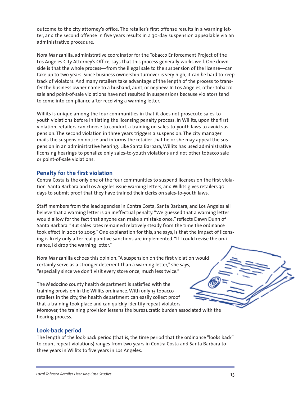outcome to the city attorney's office. The retailer's first offense results in a warning letter, and the second offense in five years results in a 30-day suspension appealable via an administrative procedure.

Nora Manzanilla, administrative coordinator for the Tobacco Enforcement Project of the Los Angeles City Attorney's Office, says that this process generally works well. One downside is that the whole process—from the illegal sale to the suspension of the license—can take up to two years. Since business ownership turnover is very high, it can be hard to keep track of violators. And many retailers take advantage of the length of the process to transfer the business owner name to a husband, aunt, or nephew. In Los Angeles, other tobacco sale and point-of-sale violations have not resulted in suspensions because violators tend to come into compliance after receiving a warning letter.

Willits is unique among the four communities in that it does not prosecute sales-toyouth violations before initiating the licensing penalty process. In Willits, upon the first violation, retailers can choose to conduct a training on sales-to-youth laws to avoid suspension. The second violation in three years triggers a suspension. The city manager mails the suspension notice and informs the retailer that he or she may appeal the suspension in an administrative hearing. Like Santa Barbara, Willits has used administrative licensing hearings to penalize only sales-to-youth violations and not other tobacco sale or point-of-sale violations.

## **Penalty for the first violation**

Contra Costa is the only one of the four communities to suspend licenses on the first violation. Santa Barbara and Los Angeles issue warning letters, and Willits gives retailers 30 days to submit proof that they have trained their clerks on sales-to-youth laws.

Staff members from the lead agencies in Contra Costa, Santa Barbara, and Los Angeles all believe that a warning letter is an ineffectual penalty. "We guessed that a warning letter would allow for the fact that anyone can make a mistake once," reflects Dawn Dunn of Santa Barbara. "But sales rates remained relatively steady from the time the ordinance took effect in 2001 to 2005." One explanation for this, she says, is that the impact of licensing is likely only after real punitive sanctions are implemented. "If I could revise the ordinance, I'd drop the warning letter."

Nora Manzanilla echoes this opinion. "A suspension on the first violation would certainly serve as a stronger deterrent than a warning letter," she says, "especially since we don't visit every store once, much less twice."

The Medocino county health department is satisfied with the training provision in the Willits ordinance. With only 13 tobacco retailers in the city, the health department can easily collect proof that a training took place and can quickly identify repeat violators. Moreover, the training provision lessens the bureaucratic burden associated with the hearing process.

#### **Look-back period**

The length of the look-back period (that is, the time period that the ordinance "looks back" to count repeat violations) ranges from two years in Contra Costa and Santa Barbara to three years in Willits to five years in Los Angeles.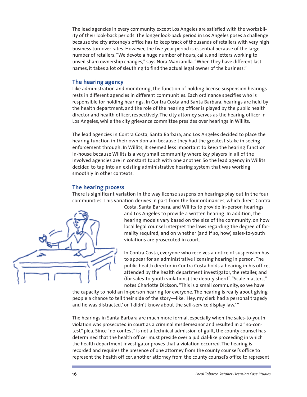The lead agencies in every community except Los Angeles are satisfied with the workability of their look-back periods. The longer look-back period in Los Angeles poses a challenge because the city attorney's office has to keep track of thousands of retailers with very high business turnover rates. However, the five-year period is essential because of the large number of retailers. "We devote a huge number of hours, calls, and letters working to unveil sham ownership changes," says Nora Manzanilla. "When they have different last names, it takes a lot of sleuthing to find the actual legal owner of the business."

#### **The hearing agency**

Like administration and monitoring, the function of holding license suspension hearings rests in different agencies in different communities. Each ordinance specifies who is responsible for holding hearings. In Contra Costa and Santa Barbara, hearings are held by the health department, and the role of the hearing officer is played by the public health director and health officer, respectively. The city attorney serves as the hearing officer in Los Angeles, while the city grievance committee presides over hearings in Willits.

The lead agencies in Contra Costa, Santa Barbara, and Los Angeles decided to place the hearing function in their own domain because they had the greatest stake in seeing enforcement through. In Willits, it seemed less important to keep the hearing function in-house because Willits is a very small community where key players in all of the involved agencies are in constant touch with one another. So the lead agency in Willits decided to tap into an existing administrative hearing system that was working smoothly in other contexts.

#### **The hearing process**

There is significant variation in the way license suspension hearings play out in the four communities. This variation derives in part from the four ordinances, which direct Contra



Costa, Santa Barbara, and Willits to provide in-person hearings and Los Angeles to provide a written hearing. In addition, the hearing models vary based on the size of the community, on how local legal counsel interpret the laws regarding the degree of formality required, and on whether (and if so, how) sales-to-youth violations are prosecuted in court.

In Contra Costa, everyone who receives a notice of suspension has to appear for an administrative licensing hearing in person. The public health director in Contra Costa holds a hearing in his office, attended by the health department investigator, the retailer, and (for sales-to-youth violations) the deputy sheriff. "Scale matters," notes Charlotte Dickson. "This is a small community, so we have

the capacity to hold an in-person hearing for everyone. The hearing is really about giving people a chance to tell their side of the story—like, 'Hey, my clerk had a personal tragedy and he was distracted,' or 'I didn't know about the self-service display law.' "

The hearings in Santa Barbara are much more formal, especially when the sales-to-youth violation was prosecuted in court as a criminal misdemeanor and resulted in a "no-contest" plea. Since "no-contest" is not a technical admission of guilt, the county counsel has determined that the health officer must preside over a judicial-like proceeding in which the health department investigator proves that a violation occurred. The hearing is recorded and requires the presence of one attorney from the county counsel's office to represent the health officer, another attorney from the county counsel's office to represent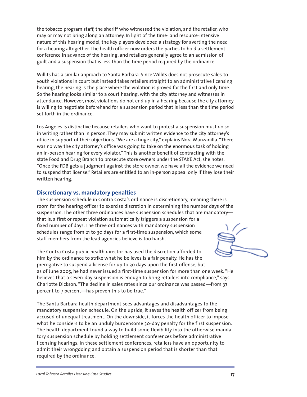the tobacco program staff, the sheriff who witnessed the violation, and the retailer, who may or may not bring along an attorney. In light of the time- and resource-intensive nature of this hearing model, the key players developed a strategy for averting the need for a hearing altogether. The health officer now orders the parties to hold a settlement conference in advance of the hearing, and retailers generally agree to an admission of guilt and a suspension that is less than the time period required by the ordinance.

Willits has a similar approach to Santa Barbara. Since Willits does not prosecute sales-toyouth violations in court but instead takes retailers straight to an administrative licensing hearing, the hearing is the place where the violation is proved for the first and only time. So the hearing looks similar to a court hearing, with the city attorney and witnesses in attendance. However, most violations do not end up in a hearing because the city attorney is willing to negotiate beforehand for a suspension period that is less than the time period set forth in the ordinance.

Los Angeles is distinctive because retailers who want to protest a suspension must do so in writing rather than in person. They may submit written evidence to the city attorney's office in support of their objections. "We are a huge city," explains Nora Manzanilla. "There was no way the city attorney's office was going to take on the enormous task of holding an in-person hearing for every violator." This is another benefit of contracting with the state Food and Drug Branch to prosecute store owners under the STAKE Act, she notes. "Once the FDB gets a judgment against the store owner, we have all the evidence we need to suspend that license." Retailers are entitled to an in-person appeal only if they lose their written hearing.

#### **Discretionary vs. mandatory penalties**

The suspension schedule in Contra Costa's ordinance is discretionary, meaning there is room for the hearing officer to exercise discretion in determining the number days of the suspension. The other three ordinances have suspension schedules that are mandatory that is, a first or repeat violation automatically triggers a suspension for a fixed number of days. The three ordinances with mandatory suspension schedules range from 21 to 30 days for a first-time suspension, which some staff members from the lead agencies believe is too harsh.

The Contra Costa public health director has used the discretion afforded to him by the ordinance to strike what he believes is a fair penalty. He has the prerogative to suspend a license for up to 30 days upon the first offense, but as of June 2005, he had never issued a first-time suspension for more than one week. "He believes that a seven-day suspension is enough to bring retailers into compliance," says Charlotte Dickson. "The decline in sales rates since our ordinance was passed—from 37 percent to 7 percent—has proven this to be true."

The Santa Barbara health department sees advantages and disadvantages to the mandatory suspension schedule. On the upside, it saves the health officer from being accused of unequal treatment. On the downside, it forces the health officer to impose what he considers to be an unduly burdensome 30-day penalty for the first suspension. The health department found a way to build some flexibility into the otherwise mandatory suspension schedule by holding settlement conferences before administrative licensing hearings. In these settlement conferences, retailers have an opportunity to admit their wrongdoing and obtain a suspension period that is shorter than that required by the ordinance.

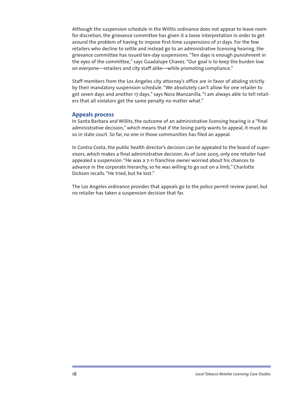Although the suspension schedule in the Willits ordinance does not appear to leave room for discretion, the grievance committee has given it a loose interpretation in order to get around the problem of having to impose first-time suspensions of 21 days. For the few retailers who decline to settle and instead go to an administrative licensing hearing, the grievance committee has issued ten-day suspensions. "Ten days is enough punishment in the eyes of the committee," says Guadalupe Chavez. "Our goal is to keep the burden low on everyone—retailers and city staff alike—while promoting compliance."

Staff members from the Los Angeles city attorney's office are in favor of abiding strictly by their mandatory suspension schedule. "We absolutely can't allow for one retailer to get seven days and another 17 days," says Nora Manzanilla. "I am always able to tell retailers that all violators get the same penalty no matter what."

#### **Appeals process**

In Santa Barbara and Willits, the outcome of an administrative licensing hearing is a "final administrative decision," which means that if the losing party wants to appeal, it must do so in state court. So far, no one in those communities has filed an appeal.

In Contra Costa, the public health director's decision can be appealed to the board of supervisors, which makes a final administrative decision. As of June 2005, only one retailer had appealed a suspension. "He was a 7-11 franchise owner worried about his chances to advance in the corporate hierarchy, so he was willing to go out on a limb," Charlotte Dickson recalls. "He tried, but he lost."

The Los Angeles ordinance provides that appeals go to the police permit review panel, but no retailer has taken a suspension decision that far.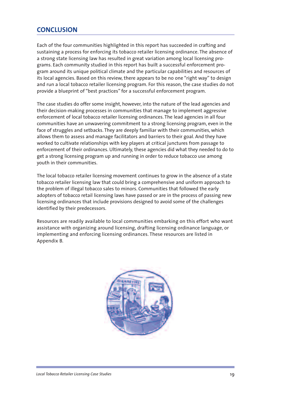## **CONCLUSION**

Each of the four communities highlighted in this report has succeeded in crafting and sustaining a process for enforcing its tobacco retailer licensing ordinance. The absence of a strong state licensing law has resulted in great variation among local licensing programs. Each community studied in this report has built a successful enforcement program around its unique political climate and the particular capabilities and resources of its local agencies. Based on this review, there appears to be no one "right way" to design and run a local tobacco retailer licensing program. For this reason, the case studies do not provide a blueprint of "best practices" for a successful enforcement program.

The case studies do offer some insight, however, into the nature of the lead agencies and their decision-making processes in communities that manage to implement aggressive enforcement of local tobacco retailer licensing ordinances. The lead agencies in all four communities have an unwavering commitment to a strong licensing program, even in the face of struggles and setbacks. They are deeply familiar with their communities, which allows them to assess and manage facilitators and barriers to their goal. And they have worked to cultivate relationships with key players at critical junctures from passage to enforcement of their ordinances. Ultimately, these agencies did what they needed to do to get a strong licensing program up and running in order to reduce tobacco use among youth in their communities.

The local tobacco retailer licensing movement continues to grow in the absence of a state tobacco retailer licensing law that could bring a comprehensive and uniform approach to the problem of illegal tobacco sales to minors. Communities that followed the early adopters of tobacco retail licensing laws have passed or are in the process of passing new licensing ordinances that include provisions designed to avoid some of the challenges identified by their predecessors.

Resources are readily available to local communities embarking on this effort who want assistance with organizing around licensing, drafting licensing ordinance language, or implementing and enforcing licensing ordinances. These resources are listed in Appendix B.

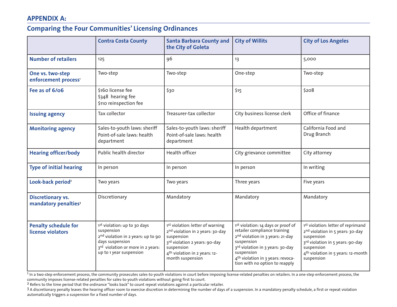## **APPENDIX A:**

## **Comparing the Four Communities' Licensing Ordinances**

|                                                              | <b>Contra Costa County</b>                                                                                                                                                      | <b>Santa Barbara County and</b><br>the City of Goleta                                                                                                                                                          | <b>City of Willits</b>                                                                                                                                                                                                                                                | <b>City of Los Angeles</b>                                                                                                                                                                                                     |
|--------------------------------------------------------------|---------------------------------------------------------------------------------------------------------------------------------------------------------------------------------|----------------------------------------------------------------------------------------------------------------------------------------------------------------------------------------------------------------|-----------------------------------------------------------------------------------------------------------------------------------------------------------------------------------------------------------------------------------------------------------------------|--------------------------------------------------------------------------------------------------------------------------------------------------------------------------------------------------------------------------------|
| <b>Number of retailers</b>                                   | 125                                                                                                                                                                             | 96                                                                                                                                                                                                             | 13                                                                                                                                                                                                                                                                    | 5,000                                                                                                                                                                                                                          |
| One vs. two-step<br>enforcement process'                     | Two-step                                                                                                                                                                        | Two-step                                                                                                                                                                                                       | One-step                                                                                                                                                                                                                                                              | Two-step                                                                                                                                                                                                                       |
| Fee as of 6/06                                               | \$160 license fee<br>\$348 hearing fee<br>\$110 reinspection fee                                                                                                                | \$30                                                                                                                                                                                                           | \$15                                                                                                                                                                                                                                                                  | \$208                                                                                                                                                                                                                          |
| <b>Issuing agency</b>                                        | Tax collector                                                                                                                                                                   | Treasurer-tax collector                                                                                                                                                                                        | City business license clerk                                                                                                                                                                                                                                           | Office of finance                                                                                                                                                                                                              |
| <b>Monitoring agency</b>                                     | Sales-to-youth laws: sheriff<br>Point-of-sale laws: health<br>department                                                                                                        | Sales-to-youth laws: sheriff<br>Point-of-sale laws: health<br>department                                                                                                                                       | Health department                                                                                                                                                                                                                                                     | California Food and<br>Drug Branch                                                                                                                                                                                             |
| <b>Hearing officer/body</b>                                  | Public health director                                                                                                                                                          | Health officer                                                                                                                                                                                                 | City grievance committee                                                                                                                                                                                                                                              | City attorney                                                                                                                                                                                                                  |
| <b>Type of initial hearing</b>                               | In person                                                                                                                                                                       | In person                                                                                                                                                                                                      | In person                                                                                                                                                                                                                                                             | In writing                                                                                                                                                                                                                     |
| Look-back period <sup>2</sup>                                | Two years                                                                                                                                                                       | Two years                                                                                                                                                                                                      | Three years                                                                                                                                                                                                                                                           | Five years                                                                                                                                                                                                                     |
| <b>Discretionary vs.</b><br>mandatory penalties <sup>3</sup> | Discretionary                                                                                                                                                                   | Mandatory                                                                                                                                                                                                      | Mandatory                                                                                                                                                                                                                                                             | Mandatory                                                                                                                                                                                                                      |
| <b>Penalty schedule for</b><br>license violators             | 1st violation: up to 30 days<br>suspension<br>2 <sup>nd</sup> violation in 2 years: up to 90<br>days suspension<br>3rd violation or more in 2 years:<br>up to 1 year suspension | 1st violation: letter of warning<br>2 <sup>nd</sup> violation in 2 years: 30-day<br>suspension<br>3rd violation 2 years: 90-day<br>suspension<br>4 <sup>th</sup> violation in 2 years: 12-<br>month suspension | 1st violation: 14 days or proof of<br>retailer compliance training<br>2 <sup>nd</sup> violation in 3 years: 21-day<br>suspension<br>3rd violation in 3 years: 30-day<br>suspension<br>4 <sup>th</sup> violation in 3 years: revoca-<br>tion with no option to reapply | 1st violation: letter of reprimand<br>2 <sup>nd</sup> violation in 5 years: 30-day<br>suspension<br>3 <sup>rd</sup> violation in 5 years: 90-day<br>suspension<br>4 <sup>th</sup> violation in 5 years: 12-month<br>suspension |

<sup>1</sup> In a two-step enforcement process, the community prosecutes sales-to-youth violations in court before imposing license-related penalties on retailers. In a one-step enforcement process, the community imposes license-related penalties for sales-to-youth violations without going first to court.

2 Refers to the time period that the ordinance "looks back" to count repeat violations against a particular retailer.

3 A discretionary penalty leaves the hearing officer room to exercise discretion in determining the number of days of a suspension. In a mandatory penalty schedule, a first or repeat violation automatically triggers a suspension for a fixed number of days.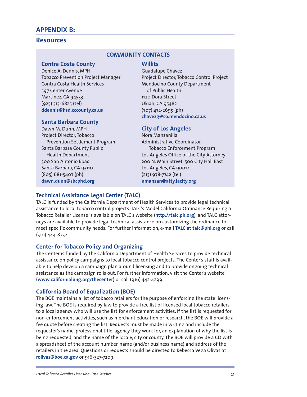## **APPENDIX B:**

#### **Resources**

#### **COMMUNITY CONTACTS**

#### **Contra Costa County**

Denice A. Dennis, MPH Tobacco Prevention Project Manager Contra Costa Health Services 597 Center Avenue Martinez, CA 94553 (925) 313-6825 (tel) **ddennis@hsd.cccounty.ca.us**

#### **Santa Barbara County**

Dawn M. Dunn, MPH Project Director, Tobacco Prevention Settlement Program Santa Barbara County Public Health Department 300 San Antonio Road Santa Barbara, CA 93110 (805) 681-5407 (ph) **dawn.dunn@sbcphd.org**

#### **Willits** Guadalupe Chavez Project Director, Tobacco Control Project Mendocino County Department

of Public Health 1120 Dora Street Ukiah, CA 95482 (707) 472-2695 (ph) **chavezg@co.mendocino.ca.us**

#### **City of Los Angeles**

Nora Manzanilla Administrative Coordinator, Tobacco Enforcement Program Los Angeles Office of the City Attorney 200 N. Main Street, 500 City Hall East Los Angeles, CA 90012 (213) 978-7742 (tel) **nmanzan@atty.lacity.org** 

## **Technical Assistance Legal Center (TALC)**

TALC is funded by the California Department of Health Services to provide legal technical assistance to local tobacco control projects. TALC's Model California Ordinance Requiring a Tobacco Retailer License is available on TALC's website (**http://talc.ph.org**), and TALC attorneys are available to provide legal technical assistance on customizing the ordinance to meet specific community needs. For further information, e-mail **TALC at talc@phi.org** or call (510) 444-8252.

#### **Center for Tobacco Policy and Organizing**

The Center is funded by the California Department of Health Services to provide technical assistance on policy campaigns to local tobacco control projects. The Center's staff is available to help develop a campaign plan around licensing and to provide ongoing technical assistance as the campaign rolls out. For further information, visit the Center's website (**www.californialung.org/thecenter**) or call (916) 442-4299.

#### **California Board of Equalization (BOE)**

The BOE maintains a list of tobacco retailers for the purpose of enforcing the state licensing law. The BOE is required by law to provide a free list of licensed local tobacco retailers to a local agency who will use the list for enforcement activities. If the list is requested for non-enforcement activities, such as merchant education or research, the BOE will provide a fee quote before creating the list. Requests must be made in writing and include the requester's name, professional title, agency they work for, an explanation of why the list is being requested, and the name of the locale, city or county. The BOE will provide a CD with a spreadsheet of the account number, name (and/or business name) and address of the retailers in the area. Questions or requests should be directed to Rebecca Vega Olivas at **rolivas@boe.ca.gov** or 916-327-7209.